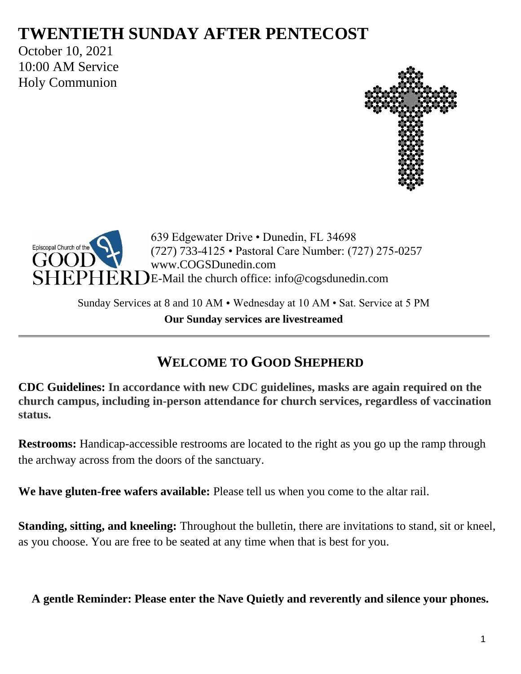# **TWENTIETH SUNDAY AFTER PENTECOST**

October 10, 2021 10:00 AM Service Holy Communion





639 Edgewater Drive • Dunedin, FL 34698 (727) 733-4125 • Pastoral Care Number: (727) 275-0257 www.COGSDunedin.com E-Mail the church office: info@cogsdunedin.com

Sunday Services at 8 and 10 AM • Wednesday at 10 AM • Sat. Service at 5 PM **Our Sunday services are livestreamed**

# **WELCOME TO GOOD SHEPHERD**

**CDC Guidelines: In accordance with new CDC guidelines, masks are again required on the church campus, including in-person attendance for church services, regardless of vaccination status.**

**Restrooms:** Handicap-accessible restrooms are located to the right as you go up the ramp through the archway across from the doors of the sanctuary.

**We have gluten-free wafers available:** Please tell us when you come to the altar rail.

**Standing, sitting, and kneeling:** Throughout the bulletin, there are invitations to stand, sit or kneel, as you choose. You are free to be seated at any time when that is best for you.

**A gentle Reminder: Please enter the Nave Quietly and reverently and silence your phones.**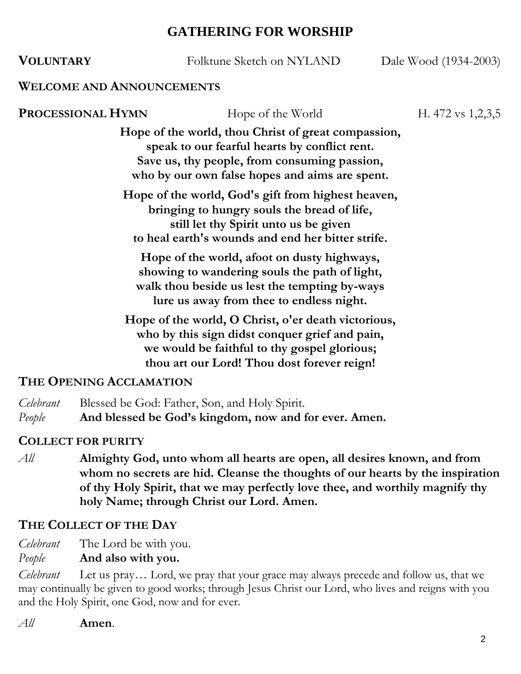# **GATHERING FOR WORSHIP**

| <b>VOLUNTARY</b>                                                                                                                                                                                     | Folktune Sketch on NYLAND                                                                                                                                                                              | Dale Wood (1934-2003) |  |  |  |
|------------------------------------------------------------------------------------------------------------------------------------------------------------------------------------------------------|--------------------------------------------------------------------------------------------------------------------------------------------------------------------------------------------------------|-----------------------|--|--|--|
| <b>WELCOME AND ANNOUNCEMENTS</b>                                                                                                                                                                     |                                                                                                                                                                                                        |                       |  |  |  |
| <b>PROCESSIONAL HYMN</b>                                                                                                                                                                             | Hope of the World                                                                                                                                                                                      | H. 472 vs $1,2,3,5$   |  |  |  |
|                                                                                                                                                                                                      | Hope of the world, thou Christ of great compassion,<br>speak to our fearful hearts by conflict rent.<br>Save us, thy people, from consuming passion,<br>who by our own false hopes and aims are spent. |                       |  |  |  |
|                                                                                                                                                                                                      | Hope of the world, God's gift from highest heaven,<br>bringing to hungry souls the bread of life,<br>still let thy Spirit unto us be given<br>to heal earth's wounds and end her bitter strife.        |                       |  |  |  |
|                                                                                                                                                                                                      | Hope of the world, afoot on dusty highways,<br>showing to wandering souls the path of light,<br>walk thou beside us lest the tempting by-ways<br>lure us away from thee to endless night.              |                       |  |  |  |
| Hope of the world, O Christ, o'er death victorious,<br>who by this sign didst conquer grief and pain,<br>we would be faithful to thy gospel glorious;<br>thou art our Lord! Thou dost forever reign! |                                                                                                                                                                                                        |                       |  |  |  |
| THE OPENING ACCLAMATION                                                                                                                                                                              |                                                                                                                                                                                                        |                       |  |  |  |

*Celebrant* Blessed be God: Father, Son, and Holy Spirit. *People* **And blessed be God's kingdom, now and for ever. Amen.**

# **COLLECT FOR PURITY**

*All* **Almighty God, unto whom all hearts are open, all desires known, and from whom no secrets are hid. Cleanse the thoughts of our hearts by the inspiration of thy Holy Spirit, that we may perfectly love thee, and worthily magnify thy holy Name; through Christ our Lord. Amen.**

# **THE COLLECT OF THE DAY**

*Celebrant* The Lord be with you.

*People* **And also with you.**

*Celebrant* Let us pray… Lord, we pray that your grace may always precede and follow us, that we may continually be given to good works; through Jesus Christ our Lord, who lives and reigns with you and the Holy Spirit, one God, now and for ever.

*All* **Amen**.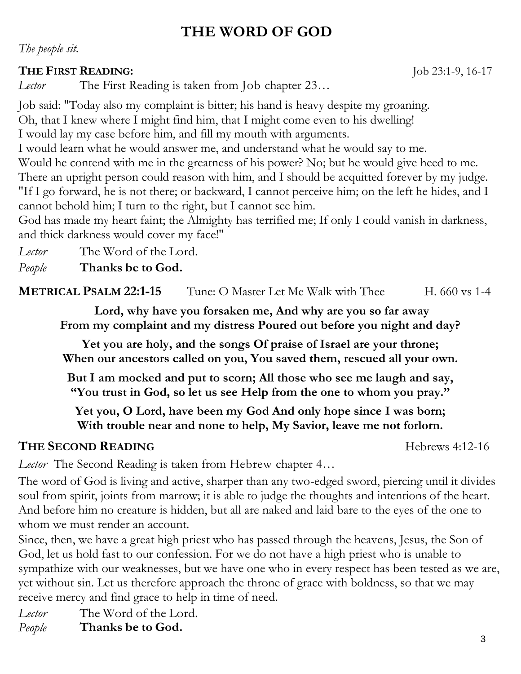# **THE WORD OF GOD**

*The people sit.*

### **THE FIRST READING:** Job 23:1-9, 16-17

*Lector* The First Reading is taken from Job chapter 23…

Job said: "Today also my complaint is bitter; his hand is heavy despite my groaning. Oh, that I knew where I might find him, that I might come even to his dwelling! I would lay my case before him, and fill my mouth with arguments.

I would learn what he would answer me, and understand what he would say to me.

Would he contend with me in the greatness of his power? No; but he would give heed to me. There an upright person could reason with him, and I should be acquitted forever by my judge. "If I go forward, he is not there; or backward, I cannot perceive him; on the left he hides, and I cannot behold him; I turn to the right, but I cannot see him.

God has made my heart faint; the Almighty has terrified me; If only I could vanish in darkness, and thick darkness would cover my face!"

*Lector* The Word of the Lord.

*People* **Thanks be to God.**

**METRICAL PSALM 22:1-15** Tune: O Master Let Me Walk with Thee H. 660 vs 1-4

**Lord, why have you forsaken me, And why are you so far away From my complaint and my distress Poured out before you night and day?**

**Yet you are holy, and the songs Of praise of Israel are your throne; When our ancestors called on you, You saved them, rescued all your own.**

**But I am mocked and put to scorn; All those who see me laugh and say, "You trust in God, so let us see Help from the one to whom you pray."**

**Yet you, O Lord, have been my God And only hope since I was born; With trouble near and none to help, My Savior, leave me not forlorn.**

# **THE SECOND READING Hebrews** 4:12-16

*Lector* The Second Reading is taken from Hebrew chapter 4…

The word of God is living and active, sharper than any two-edged sword, piercing until it divides soul from spirit, joints from marrow; it is able to judge the thoughts and intentions of the heart. And before him no creature is hidden, but all are naked and laid bare to the eyes of the one to whom we must render an account.

Since, then, we have a great high priest who has passed through the heavens, Jesus, the Son of God, let us hold fast to our confession. For we do not have a high priest who is unable to sympathize with our weaknesses, but we have one who in every respect has been tested as we are, yet without sin. Let us therefore approach the throne of grace with boldness, so that we may receive mercy and find grace to help in time of need.

*Lector* The Word of the Lord. *People* **Thanks be to God.**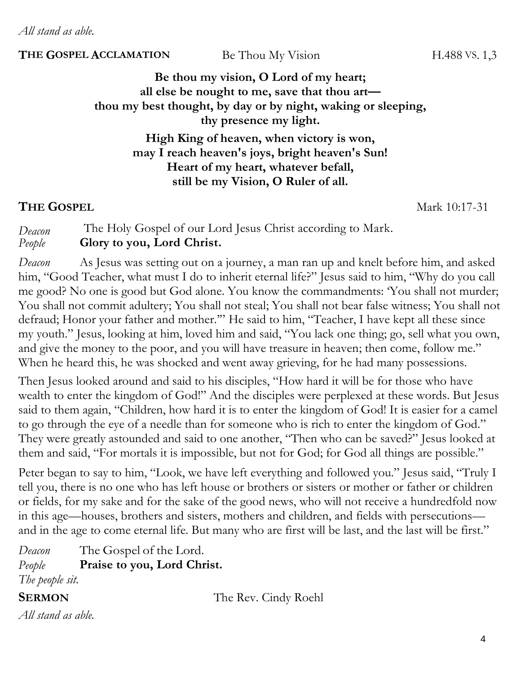*All stand as able.*

#### **THE GOSPEL ACCLAMATION** Be Thou My Vision H.488 VS. 1,3

**Be thou my vision, O Lord of my heart; all else be nought to me, save that thou art thou my best thought, by day or by night, waking or sleeping, thy presence my light.**

> **High King of heaven, when victory is won, may I reach heaven's joys, bright heaven's Sun! Heart of my heart, whatever befall, still be my Vision, O Ruler of all.**

#### **THE GOSPEL** Mark 10:17-31

*Deacon* The Holy Gospel of our Lord Jesus Christ according to Mark. *People* **Glory to you, Lord Christ.**

*Deacon* As Jesus was setting out on a journey, a man ran up and knelt before him, and asked him, "Good Teacher, what must I do to inherit eternal life?" Jesus said to him, "Why do you call me good? No one is good but God alone. You know the commandments: 'You shall not murder; You shall not commit adultery; You shall not steal; You shall not bear false witness; You shall not defraud; Honor your father and mother.'" He said to him, "Teacher, I have kept all these since my youth." Jesus, looking at him, loved him and said, "You lack one thing; go, sell what you own, and give the money to the poor, and you will have treasure in heaven; then come, follow me." When he heard this, he was shocked and went away grieving, for he had many possessions.

Then Jesus looked around and said to his disciples, "How hard it will be for those who have wealth to enter the kingdom of God!" And the disciples were perplexed at these words. But Jesus said to them again, "Children, how hard it is to enter the kingdom of God! It is easier for a camel to go through the eye of a needle than for someone who is rich to enter the kingdom of God." They were greatly astounded and said to one another, "Then who can be saved?" Jesus looked at them and said, "For mortals it is impossible, but not for God; for God all things are possible."

Peter began to say to him, "Look, we have left everything and followed you." Jesus said, "Truly I tell you, there is no one who has left house or brothers or sisters or mother or father or children or fields, for my sake and for the sake of the good news, who will not receive a hundredfold now in this age—houses, brothers and sisters, mothers and children, and fields with persecutions and in the age to come eternal life. But many who are first will be last, and the last will be first."

*Deacon* The Gospel of the Lord. *People* **Praise to you, Lord Christ.** *The people sit.*

**SERMON** The Rev. Cindy Roehl

*All stand as able.*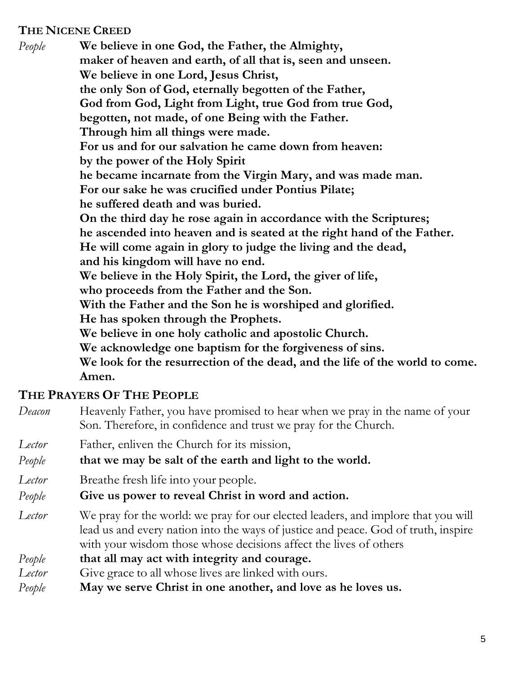#### **THE NICENE CREED**

*People* **We believe in one God, the Father, the Almighty, maker of heaven and earth, of all that is, seen and unseen. We believe in one Lord, Jesus Christ, the only Son of God, eternally begotten of the Father, God from God, Light from Light, true God from true God, begotten, not made, of one Being with the Father. Through him all things were made. For us and for our salvation he came down from heaven: by the power of the Holy Spirit he became incarnate from the Virgin Mary, and was made man. For our sake he was crucified under Pontius Pilate; he suffered death and was buried. On the third day he rose again in accordance with the Scriptures; he ascended into heaven and is seated at the right hand of the Father. He will come again in glory to judge the living and the dead, and his kingdom will have no end. We believe in the Holy Spirit, the Lord, the giver of life, who proceeds from the Father and the Son. With the Father and the Son he is worshiped and glorified. He has spoken through the Prophets. We believe in one holy catholic and apostolic Church. We acknowledge one baptism for the forgiveness of sins. We look for the resurrection of the dead, and the life of the world to come. Amen.**

## **THE PRAYERS OF THE PEOPLE**

- *Deacon* Heavenly Father, you have promised to hear when we pray in the name of your Son. Therefore, in confidence and trust we pray for the Church.
- *Lector* Father, enliven the Church for its mission,
- *People* **that we may be salt of the earth and light to the world.**
- *Lector* Breathe fresh life into your people.
- *People* **Give us power to reveal Christ in word and action.**
- *Lector* We pray for the world: we pray for our elected leaders, and implore that you will lead us and every nation into the ways of justice and peace. God of truth, inspire with your wisdom those whose decisions affect the lives of others
- *People* **that all may act with integrity and courage.**
- Lector Give grace to all whose lives are linked with ours.
- *People* **May we serve Christ in one another, and love as he loves us.**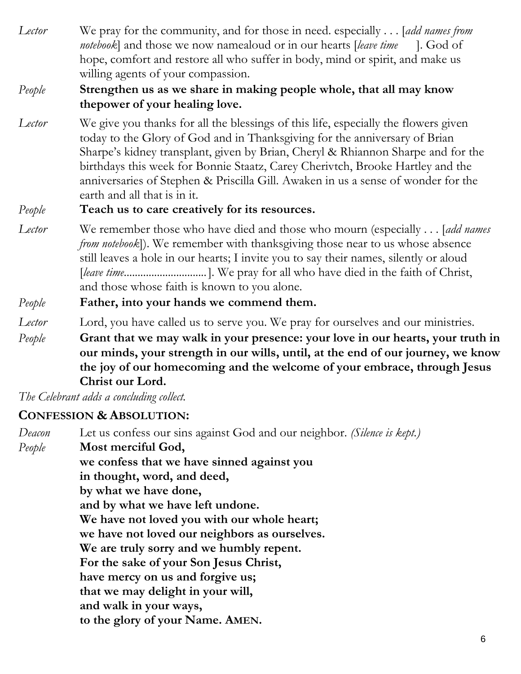*Lector* We pray for the community, and for those in need. especially . . . [*add names from notebook*] and those we now namealoud or in our hearts [*leave time* ]. God of hope, comfort and restore all who suffer in body, mind or spirit, and make us willing agents of your compassion.

## *People* **Strengthen us as we share in making people whole, that all may know thepower of your healing love.**

*Lector* We give you thanks for all the blessings of this life, especially the flowers given today to the Glory of God and in Thanksgiving for the anniversary of Brian Sharpe's kidney transplant, given by Brian, Cheryl & Rhiannon Sharpe and for the birthdays this week for Bonnie Staatz, Carey Cherivtch, Brooke Hartley and the anniversaries of Stephen & Priscilla Gill*.* Awaken in us a sense of wonder for the earth and all that is in it.

## *People* **Teach us to care creatively for its resources.**

*Lector* We remember those who have died and those who mourn (especially . . . [*add names from notebook*]). We remember with thanksgiving those near to us whose absence still leaves a hole in our hearts; I invite you to say their names, silently or aloud [*leave time..............................*]. We pray for all who have died in the faith of Christ, and those whose faith is known to you alone.

## *People* **Father, into your hands we commend them.**

*People* **Grant that we may walk in your presence: your love in our hearts, your truth in our minds, your strength in our wills, until, at the end of our journey, we know the joy of our homecoming and the welcome of your embrace, through Jesus Christ our Lord.**

*The Celebrant adds a concluding collect.* 

# **CONFESSION & ABSOLUTION:**

*Deacon* Let us confess our sins against God and our neighbor. *(Silence is kept.)* 

*People* **Most merciful God,**

**we confess that we have sinned against you**

**in thought, word, and deed,**

**by what we have done,**

**and by what we have left undone.**

**We have not loved you with our whole heart;**

**we have not loved our neighbors as ourselves.**

**We are truly sorry and we humbly repent.**

**For the sake of your Son Jesus Christ,**

**have mercy on us and forgive us;**

**that we may delight in your will,**

**and walk in your ways,**

**to the glory of your Name. AMEN.**

*Lector* Lord, you have called us to serve you. We pray for ourselves and our ministries.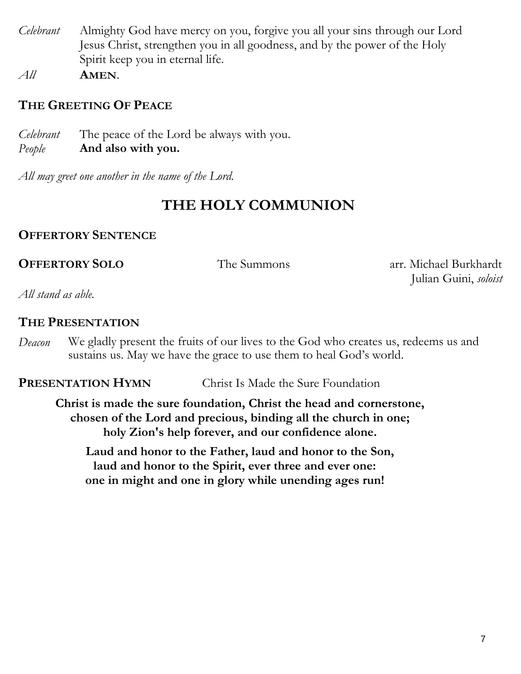- *Celebrant* Almighty God have mercy on you, forgive you all your sins through our Lord Jesus Christ, strengthen you in all goodness, and by the power of the Holy Spirit keep you in eternal life.
- *All* **AMEN**.

### **THE GREETING OF PEACE**

*Celebrant* The peace of the Lord be always with you. *People* **And also with you.**

*All may greet one another in the name of the Lord.*

# **THE HOLY COMMUNION**

#### **OFFERTORY SENTENCE**

**OFFERTORY SOLO** The Summons arr. Michael Burkhardt Julian Guini, *soloist*

*All stand as able.*

#### **THE PRESENTATION**

*Deacon* We gladly present the fruits of our lives to the God who creates us, redeems us and sustains us. May we have the grace to use them to heal God's world.

**PRESENTATION HYMN** Christ Is Made the Sure Foundation

**Christ is made the sure foundation, Christ the head and cornerstone, chosen of the Lord and precious, binding all the church in one; holy Zion's help forever, and our confidence alone.**

**Laud and honor to the Father, laud and honor to the Son, laud and honor to the Spirit, ever three and ever one: one in might and one in glory while unending ages run!**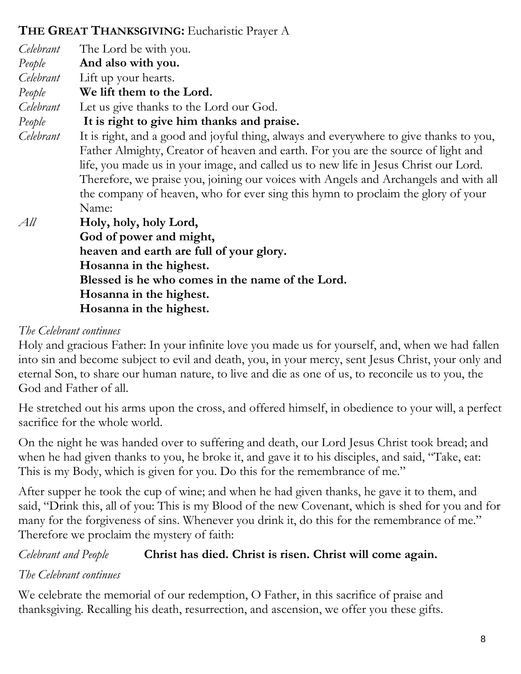# **THE GREAT THANKSGIVING:** Eucharistic Prayer A

| Celebrant | The Lord be with you.                                                                  |
|-----------|----------------------------------------------------------------------------------------|
| People    | And also with you.                                                                     |
| Celebrant | Lift up your hearts.                                                                   |
| People    | We lift them to the Lord.                                                              |
| Celebrant | Let us give thanks to the Lord our God.                                                |
| People    | It is right to give him thanks and praise.                                             |
| Celebrant | It is right, and a good and joyful thing, always and everywhere to give thanks to you, |
|           | Father Almighty, Creator of heaven and earth. For you are the source of light and      |
|           | life, you made us in your image, and called us to new life in Jesus Christ our Lord.   |
|           | Therefore, we praise you, joining our voices with Angels and Archangels and with all   |
|           | the company of heaven, who for ever sing this hymn to proclaim the glory of your       |
|           | Name:                                                                                  |
| All       | Holy, holy, holy Lord,                                                                 |
|           | God of power and might,                                                                |
|           | heaven and earth are full of your glory.                                               |
|           | Hosanna in the highest.                                                                |
|           | Blessed is he who comes in the name of the Lord.                                       |
|           | Hosanna in the highest.                                                                |
|           |                                                                                        |

**Hosanna in the highest.**

# *The Celebrant continues*

Holy and gracious Father: In your infinite love you made us for yourself, and, when we had fallen into sin and become subject to evil and death, you, in your mercy, sent Jesus Christ, your only and eternal Son, to share our human nature, to live and die as one of us, to reconcile us to you, the God and Father of all.

He stretched out his arms upon the cross, and offered himself, in obedience to your will, a perfect sacrifice for the whole world.

On the night he was handed over to suffering and death, our Lord Jesus Christ took bread; and when he had given thanks to you, he broke it, and gave it to his disciples, and said, "Take, eat: This is my Body, which is given for you. Do this for the remembrance of me."

After supper he took the cup of wine; and when he had given thanks, he gave it to them, and said, "Drink this, all of you: This is my Blood of the new Covenant, which is shed for you and for many for the forgiveness of sins. Whenever you drink it, do this for the remembrance of me." Therefore we proclaim the mystery of faith:

# *Celebrant and People* **Christ has died. Christ is risen. Christ will come again.**

# *The Celebrant continues*

We celebrate the memorial of our redemption, O Father, in this sacrifice of praise and thanksgiving. Recalling his death, resurrection, and ascension, we offer you these gifts.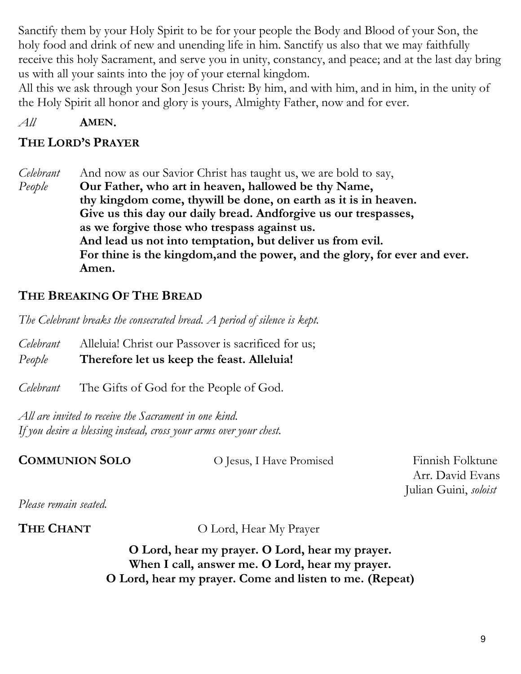Sanctify them by your Holy Spirit to be for your people the Body and Blood of your Son, the holy food and drink of new and unending life in him. Sanctify us also that we may faithfully receive this holy Sacrament, and serve you in unity, constancy, and peace; and at the last day bring us with all your saints into the joy of your eternal kingdom.

All this we ask through your Son Jesus Christ: By him, and with him, and in him, in the unity of the Holy Spirit all honor and glory is yours, Almighty Father, now and for ever.

*All* **AMEN.**

# **THE LORD'S PRAYER**

*Celebrant* And now as our Savior Christ has taught us, we are bold to say, *People* **Our Father, who art in heaven, hallowed be thy Name, thy kingdom come, thywill be done, on earth as it is in heaven. Give us this day our daily bread. Andforgive us our trespasses, as we forgive those who trespass against us. And lead us not into temptation, but deliver us from evil. For thine is the kingdom,and the power, and the glory, for ever and ever. Amen.**

# **THE BREAKING OF THE BREAD**

*The Celebrant breaks the consecrated bread. A period of silence is kept.*

*Celebrant* Alleluia! Christ our Passover is sacrificed for us; *People* **Therefore let us keep the feast. Alleluia!**

*Celebrant* The Gifts of God for the People of God.

*All are invited to receive the Sacrament in one kind. If you desire a blessing instead, cross your arms over your chest.*

**COMMUNION SOLO** O Jesus, I Have Promised Finnish Folktune

Arr. David Evans Julian Guini, *soloist*

*Please remain seated.*

**THE CHANT** O Lord, Hear My Prayer

**O Lord, hear my prayer. O Lord, hear my prayer. When I call, answer me. O Lord, hear my prayer. O Lord, hear my prayer. Come and listen to me. (Repeat)**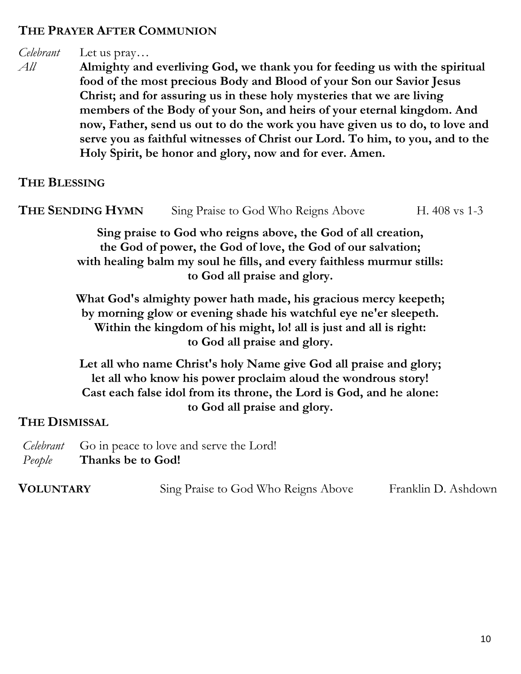#### **THE PRAYER AFTER COMMUNION**

## *Celebrant* Let us pray…

*All* **Almighty and everliving God, we thank you for feeding us with the spiritual food of the most precious Body and Blood of your Son our Savior Jesus Christ; and for assuring us in these holy mysteries that we are living members of the Body of your Son, and heirs of your eternal kingdom. And now, Father, send us out to do the work you have given us to do, to love and serve you as faithful witnesses of Christ our Lord. To him, to you, and to the Holy Spirit, be honor and glory, now and for ever. Amen.**

# **THE BLESSING**

| THE SENDING HYMN |  | Sing Praise to God Who Reigns Above |  |  |  |  |  |  | H. $408$ vs 1-3 |  |  |  |
|------------------|--|-------------------------------------|--|--|--|--|--|--|-----------------|--|--|--|
|                  |  | $\sim$ $\sim$ $\sim$                |  |  |  |  |  |  |                 |  |  |  |

**Sing praise to God who reigns above, the God of all creation, the God of power, the God of love, the God of our salvation; with healing balm my soul he fills, and every faithless murmur stills: to God all praise and glory.**

**What God's almighty power hath made, his gracious mercy keepeth; by morning glow or evening shade his watchful eye ne'er sleepeth. Within the kingdom of his might, lo! all is just and all is right: to God all praise and glory.**

**Let all who name Christ's holy Name give God all praise and glory; let all who know his power proclaim aloud the wondrous story! Cast each false idol from its throne, the Lord is God, and he alone: to God all praise and glory.**

#### **THE DISMISSAL**

*Celebrant* Go in peace to love and serve the Lord! *People* **Thanks be to God!**

| <b>VOLUNTARY</b> | Sing Praise to God Who Reigns Above | Franklin D. Ashdown |
|------------------|-------------------------------------|---------------------|
|------------------|-------------------------------------|---------------------|